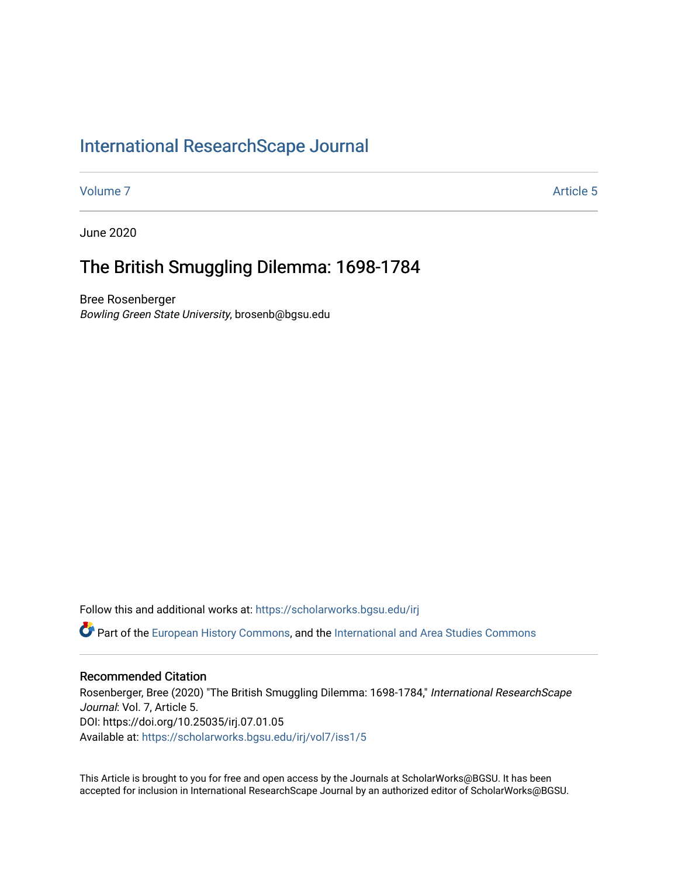## [International ResearchScape Journal](https://scholarworks.bgsu.edu/irj)

[Volume 7](https://scholarworks.bgsu.edu/irj/vol7) Article 5

June 2020

# The British Smuggling Dilemma: 1698-1784

Bree Rosenberger Bowling Green State University, brosenb@bgsu.edu

Follow this and additional works at: [https://scholarworks.bgsu.edu/irj](https://scholarworks.bgsu.edu/irj?utm_source=scholarworks.bgsu.edu%2Firj%2Fvol7%2Fiss1%2F5&utm_medium=PDF&utm_campaign=PDFCoverPages) 

Part of the [European History Commons](http://network.bepress.com/hgg/discipline/492?utm_source=scholarworks.bgsu.edu%2Firj%2Fvol7%2Fiss1%2F5&utm_medium=PDF&utm_campaign=PDFCoverPages), and the [International and Area Studies Commons](http://network.bepress.com/hgg/discipline/360?utm_source=scholarworks.bgsu.edu%2Firj%2Fvol7%2Fiss1%2F5&utm_medium=PDF&utm_campaign=PDFCoverPages)

#### Recommended Citation

Rosenberger, Bree (2020) "The British Smuggling Dilemma: 1698-1784," International ResearchScape Journal: Vol. 7, Article 5. DOI: https://doi.org/10.25035/irj.07.01.05 Available at: [https://scholarworks.bgsu.edu/irj/vol7/iss1/5](https://scholarworks.bgsu.edu/irj/vol7/iss1/5?utm_source=scholarworks.bgsu.edu%2Firj%2Fvol7%2Fiss1%2F5&utm_medium=PDF&utm_campaign=PDFCoverPages)

This Article is brought to you for free and open access by the Journals at ScholarWorks@BGSU. It has been accepted for inclusion in International ResearchScape Journal by an authorized editor of ScholarWorks@BGSU.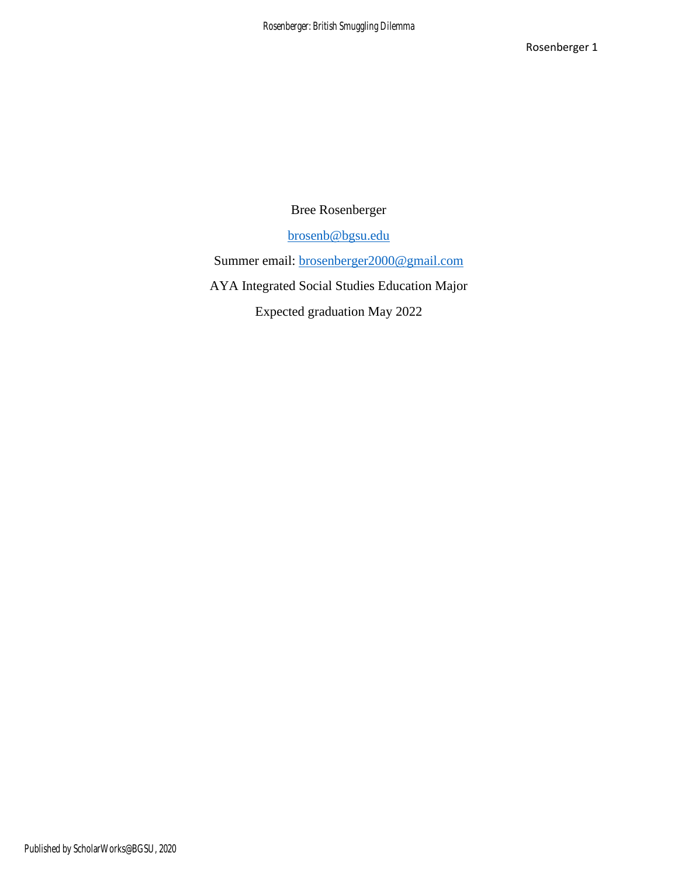Bree Rosenberger

[brosenb@bgsu.edu](mailto:brosenb@bgsu.edu)

Summer email: [brosenberger2000@gmail.com](mailto:brosenberger2000@gmail.com)

AYA Integrated Social Studies Education Major

Expected graduation May 2022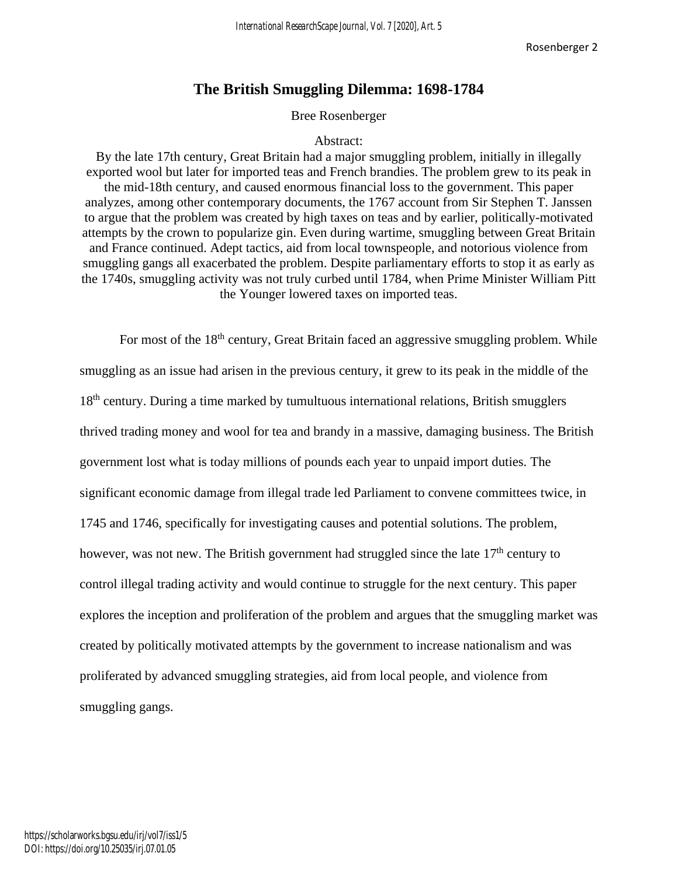### **The British Smuggling Dilemma: 1698-1784**

#### Bree Rosenberger

#### Abstract:

By the late 17th century, Great Britain had a major smuggling problem, initially in illegally exported wool but later for imported teas and French brandies. The problem grew to its peak in the mid-18th century, and caused enormous financial loss to the government. This paper analyzes, among other contemporary documents, the 1767 account from Sir Stephen T. Janssen to argue that the problem was created by high taxes on teas and by earlier, politically-motivated attempts by the crown to popularize gin. Even during wartime, smuggling between Great Britain and France continued. Adept tactics, aid from local townspeople, and notorious violence from smuggling gangs all exacerbated the problem. Despite parliamentary efforts to stop it as early as the 1740s, smuggling activity was not truly curbed until 1784, when Prime Minister William Pitt the Younger lowered taxes on imported teas.

For most of the 18<sup>th</sup> century, Great Britain faced an aggressive smuggling problem. While smuggling as an issue had arisen in the previous century, it grew to its peak in the middle of the 18<sup>th</sup> century. During a time marked by tumultuous international relations, British smugglers thrived trading money and wool for tea and brandy in a massive, damaging business. The British government lost what is today millions of pounds each year to unpaid import duties. The significant economic damage from illegal trade led Parliament to convene committees twice, in 1745 and 1746, specifically for investigating causes and potential solutions. The problem, however, was not new. The British government had struggled since the late  $17<sup>th</sup>$  century to control illegal trading activity and would continue to struggle for the next century. This paper explores the inception and proliferation of the problem and argues that the smuggling market was created by politically motivated attempts by the government to increase nationalism and was proliferated by advanced smuggling strategies, aid from local people, and violence from smuggling gangs.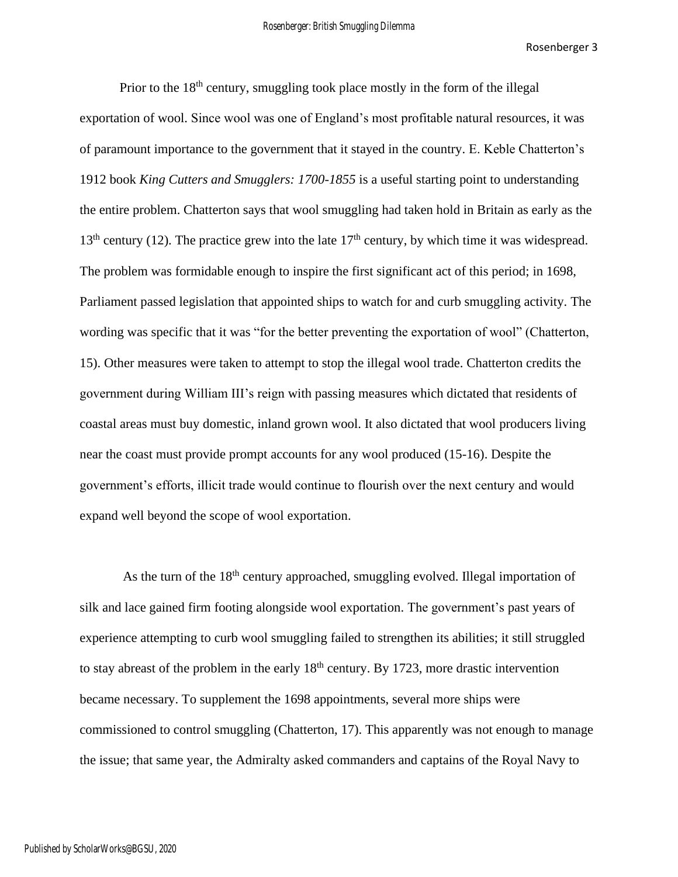Prior to the  $18<sup>th</sup>$  century, smuggling took place mostly in the form of the illegal exportation of wool. Since wool was one of England's most profitable natural resources, it was of paramount importance to the government that it stayed in the country. E. Keble Chatterton's 1912 book *King Cutters and Smugglers: 1700-1855* is a useful starting point to understanding the entire problem. Chatterton says that wool smuggling had taken hold in Britain as early as the  $13<sup>th</sup>$  century (12). The practice grew into the late  $17<sup>th</sup>$  century, by which time it was widespread. The problem was formidable enough to inspire the first significant act of this period; in 1698, Parliament passed legislation that appointed ships to watch for and curb smuggling activity. The wording was specific that it was "for the better preventing the exportation of wool" (Chatterton, 15). Other measures were taken to attempt to stop the illegal wool trade. Chatterton credits the government during William III's reign with passing measures which dictated that residents of coastal areas must buy domestic, inland grown wool. It also dictated that wool producers living near the coast must provide prompt accounts for any wool produced (15-16). Despite the government's efforts, illicit trade would continue to flourish over the next century and would expand well beyond the scope of wool exportation.

As the turn of the  $18<sup>th</sup>$  century approached, smuggling evolved. Illegal importation of silk and lace gained firm footing alongside wool exportation. The government's past years of experience attempting to curb wool smuggling failed to strengthen its abilities; it still struggled to stay abreast of the problem in the early  $18<sup>th</sup>$  century. By 1723, more drastic intervention became necessary. To supplement the 1698 appointments, several more ships were commissioned to control smuggling (Chatterton, 17). This apparently was not enough to manage the issue; that same year, the Admiralty asked commanders and captains of the Royal Navy to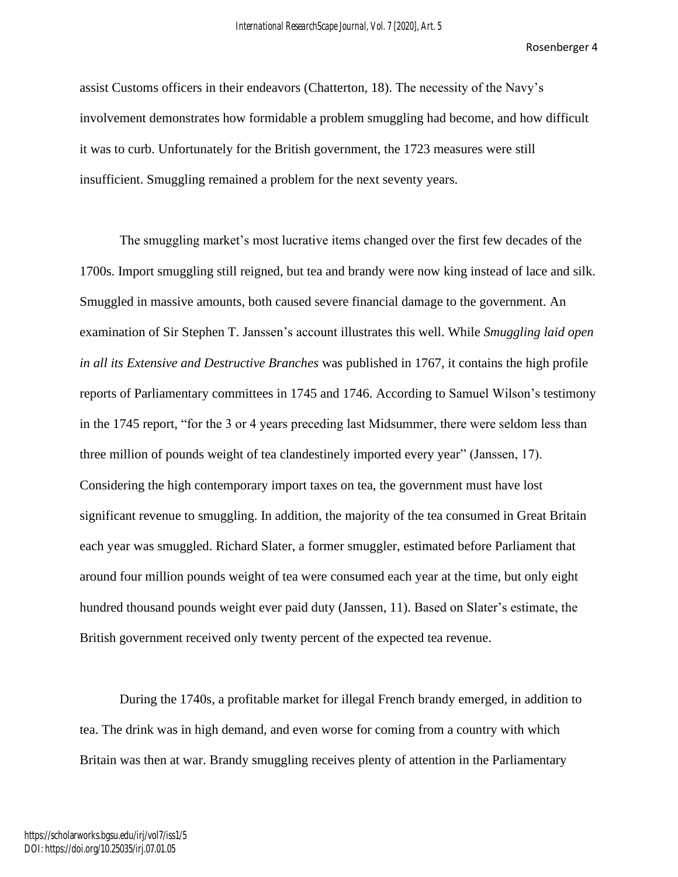assist Customs officers in their endeavors (Chatterton, 18). The necessity of the Navy's involvement demonstrates how formidable a problem smuggling had become, and how difficult it was to curb. Unfortunately for the British government, the 1723 measures were still insufficient. Smuggling remained a problem for the next seventy years.

The smuggling market's most lucrative items changed over the first few decades of the 1700s. Import smuggling still reigned, but tea and brandy were now king instead of lace and silk. Smuggled in massive amounts, both caused severe financial damage to the government. An examination of Sir Stephen T. Janssen's account illustrates this well. While *Smuggling laid open in all its Extensive and Destructive Branches* was published in 1767, it contains the high profile reports of Parliamentary committees in 1745 and 1746. According to Samuel Wilson's testimony in the 1745 report, "for the 3 or 4 years preceding last Midsummer, there were seldom less than three million of pounds weight of tea clandestinely imported every year" (Janssen, 17). Considering the high contemporary import taxes on tea, the government must have lost significant revenue to smuggling. In addition, the majority of the tea consumed in Great Britain each year was smuggled. Richard Slater, a former smuggler, estimated before Parliament that around four million pounds weight of tea were consumed each year at the time, but only eight hundred thousand pounds weight ever paid duty (Janssen, 11). Based on Slater's estimate, the British government received only twenty percent of the expected tea revenue.

During the 1740s, a profitable market for illegal French brandy emerged, in addition to tea. The drink was in high demand, and even worse for coming from a country with which Britain was then at war. Brandy smuggling receives plenty of attention in the Parliamentary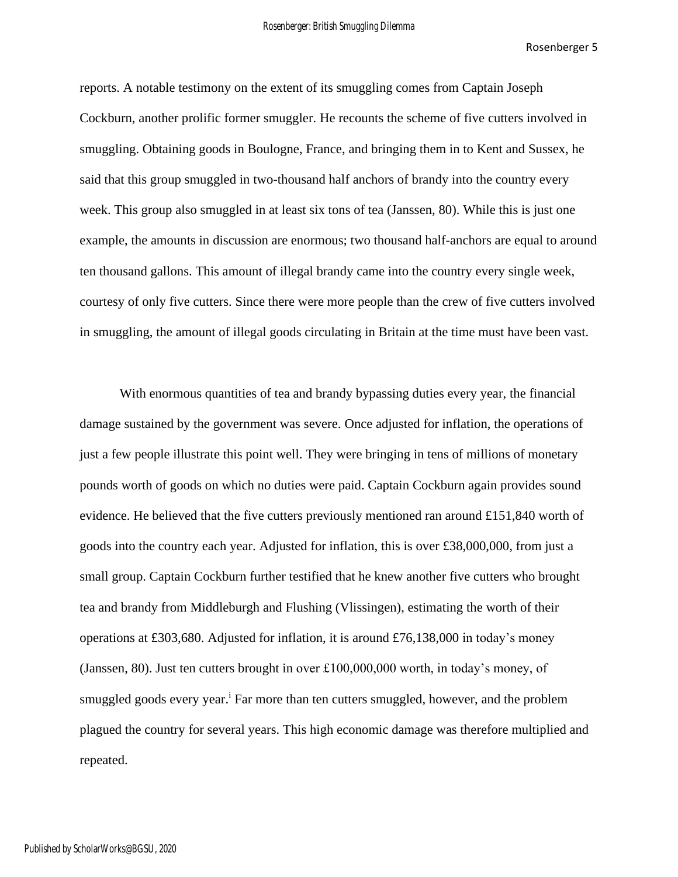reports. A notable testimony on the extent of its smuggling comes from Captain Joseph Cockburn, another prolific former smuggler. He recounts the scheme of five cutters involved in smuggling. Obtaining goods in Boulogne, France, and bringing them in to Kent and Sussex, he said that this group smuggled in two-thousand half anchors of brandy into the country every week. This group also smuggled in at least six tons of tea (Janssen, 80). While this is just one example, the amounts in discussion are enormous; two thousand half-anchors are equal to around ten thousand gallons. This amount of illegal brandy came into the country every single week, courtesy of only five cutters. Since there were more people than the crew of five cutters involved in smuggling, the amount of illegal goods circulating in Britain at the time must have been vast.

With enormous quantities of tea and brandy bypassing duties every year, the financial damage sustained by the government was severe. Once adjusted for inflation, the operations of just a few people illustrate this point well. They were bringing in tens of millions of monetary pounds worth of goods on which no duties were paid. Captain Cockburn again provides sound evidence. He believed that the five cutters previously mentioned ran around £151,840 worth of goods into the country each year. Adjusted for inflation, this is over £38,000,000, from just a small group. Captain Cockburn further testified that he knew another five cutters who brought tea and brandy from Middleburgh and Flushing (Vlissingen), estimating the worth of their operations at £303,680. Adjusted for inflation, it is around £76,138,000 in today's money (Janssen, 80). Just ten cutters brought in over £100,000,000 worth, in today's money, of smuggled goods every year.<sup>i</sup> Far more than ten cutters smuggled, however, and the problem plagued the country for several years. This high economic damage was therefore multiplied and repeated.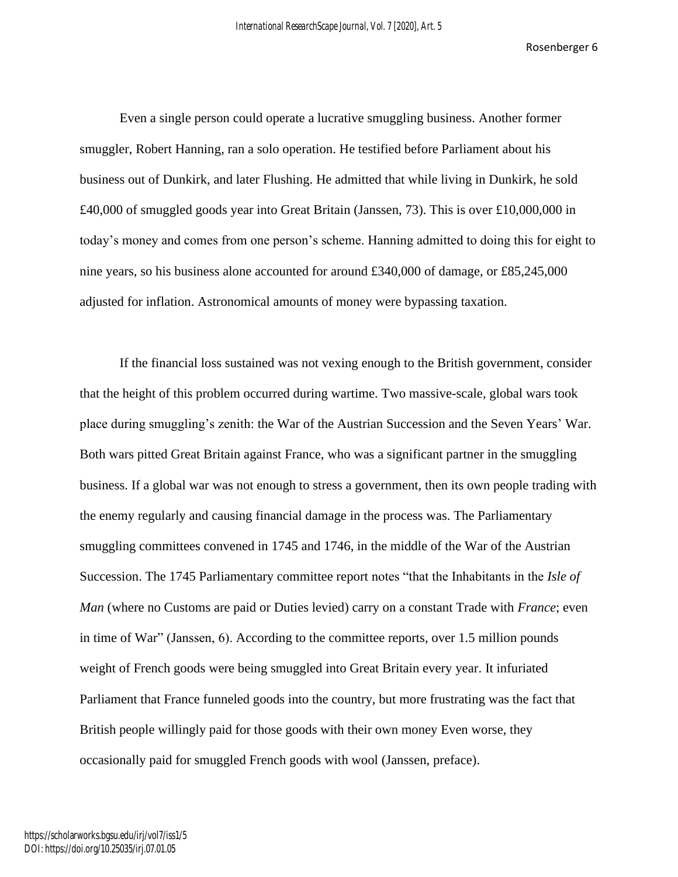Even a single person could operate a lucrative smuggling business. Another former smuggler, Robert Hanning, ran a solo operation. He testified before Parliament about his business out of Dunkirk, and later Flushing. He admitted that while living in Dunkirk, he sold £40,000 of smuggled goods year into Great Britain (Janssen, 73). This is over £10,000,000 in today's money and comes from one person's scheme. Hanning admitted to doing this for eight to nine years, so his business alone accounted for around £340,000 of damage, or £85,245,000 adjusted for inflation. Astronomical amounts of money were bypassing taxation.

If the financial loss sustained was not vexing enough to the British government, consider that the height of this problem occurred during wartime. Two massive-scale, global wars took place during smuggling's zenith: the War of the Austrian Succession and the Seven Years' War. Both wars pitted Great Britain against France, who was a significant partner in the smuggling business. If a global war was not enough to stress a government, then its own people trading with the enemy regularly and causing financial damage in the process was. The Parliamentary smuggling committees convened in 1745 and 1746, in the middle of the War of the Austrian Succession. The 1745 Parliamentary committee report notes "that the Inhabitants in the *Isle of Man* (where no Customs are paid or Duties levied) carry on a constant Trade with *France*; even in time of War" (Janssen, 6). According to the committee reports, over 1.5 million pounds weight of French goods were being smuggled into Great Britain every year. It infuriated Parliament that France funneled goods into the country, but more frustrating was the fact that British people willingly paid for those goods with their own money Even worse, they occasionally paid for smuggled French goods with wool (Janssen, preface).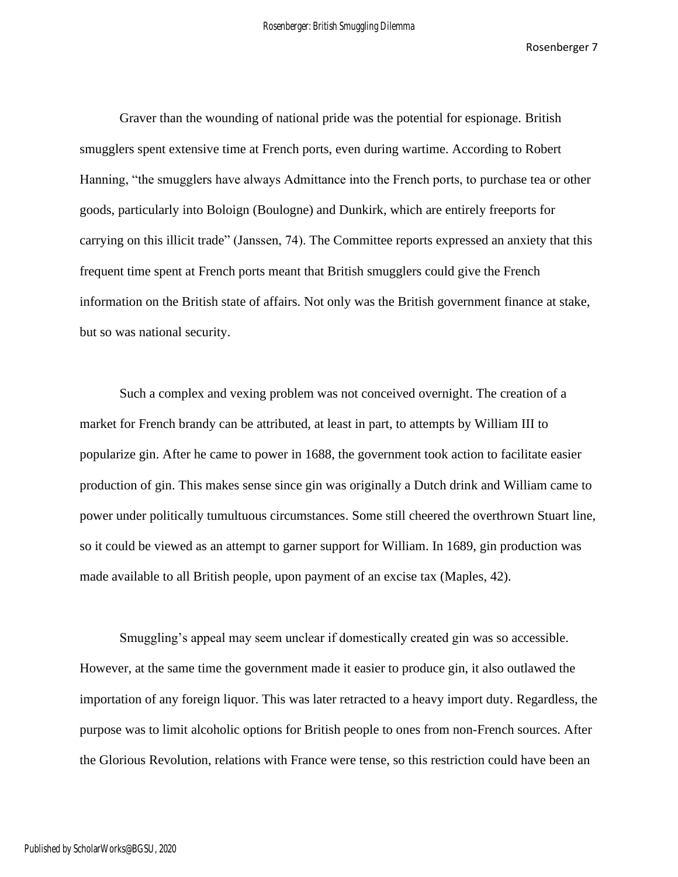Graver than the wounding of national pride was the potential for espionage. British smugglers spent extensive time at French ports, even during wartime. According to Robert Hanning, "the smugglers have always Admittance into the French ports, to purchase tea or other goods, particularly into Boloign (Boulogne) and Dunkirk, which are entirely freeports for carrying on this illicit trade" (Janssen, 74). The Committee reports expressed an anxiety that this frequent time spent at French ports meant that British smugglers could give the French information on the British state of affairs. Not only was the British government finance at stake, but so was national security.

Such a complex and vexing problem was not conceived overnight. The creation of a market for French brandy can be attributed, at least in part, to attempts by William III to popularize gin. After he came to power in 1688, the government took action to facilitate easier production of gin. This makes sense since gin was originally a Dutch drink and William came to power under politically tumultuous circumstances. Some still cheered the overthrown Stuart line, so it could be viewed as an attempt to garner support for William. In 1689, gin production was made available to all British people, upon payment of an excise tax (Maples, 42).

Smuggling's appeal may seem unclear if domestically created gin was so accessible. However, at the same time the government made it easier to produce gin, it also outlawed the importation of any foreign liquor. This was later retracted to a heavy import duty. Regardless, the purpose was to limit alcoholic options for British people to ones from non-French sources. After the Glorious Revolution, relations with France were tense, so this restriction could have been an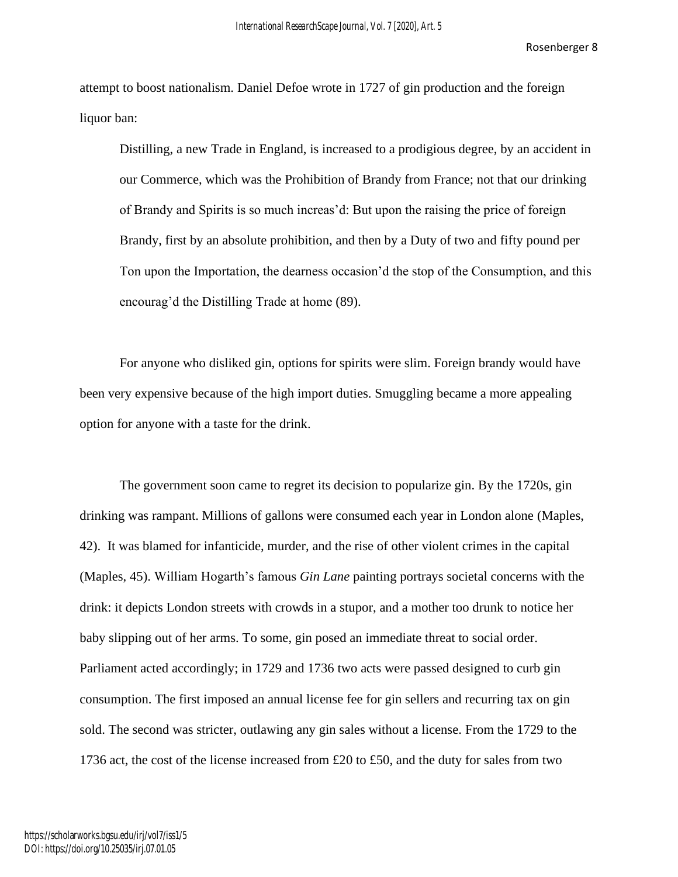attempt to boost nationalism. Daniel Defoe wrote in 1727 of gin production and the foreign liquor ban:

Distilling, a new Trade in England, is increased to a prodigious degree, by an accident in our Commerce, which was the Prohibition of Brandy from France; not that our drinking of Brandy and Spirits is so much increas'd: But upon the raising the price of foreign Brandy, first by an absolute prohibition, and then by a Duty of two and fifty pound per Ton upon the Importation, the dearness occasion'd the stop of the Consumption, and this encourag'd the Distilling Trade at home (89).

For anyone who disliked gin, options for spirits were slim. Foreign brandy would have been very expensive because of the high import duties. Smuggling became a more appealing option for anyone with a taste for the drink.

The government soon came to regret its decision to popularize gin. By the 1720s, gin drinking was rampant. Millions of gallons were consumed each year in London alone (Maples, 42). It was blamed for infanticide, murder, and the rise of other violent crimes in the capital (Maples, 45). William Hogarth's famous *Gin Lane* painting portrays societal concerns with the drink: it depicts London streets with crowds in a stupor, and a mother too drunk to notice her baby slipping out of her arms. To some, gin posed an immediate threat to social order. Parliament acted accordingly; in 1729 and 1736 two acts were passed designed to curb gin consumption. The first imposed an annual license fee for gin sellers and recurring tax on gin sold. The second was stricter, outlawing any gin sales without a license. From the 1729 to the 1736 act, the cost of the license increased from £20 to £50, and the duty for sales from two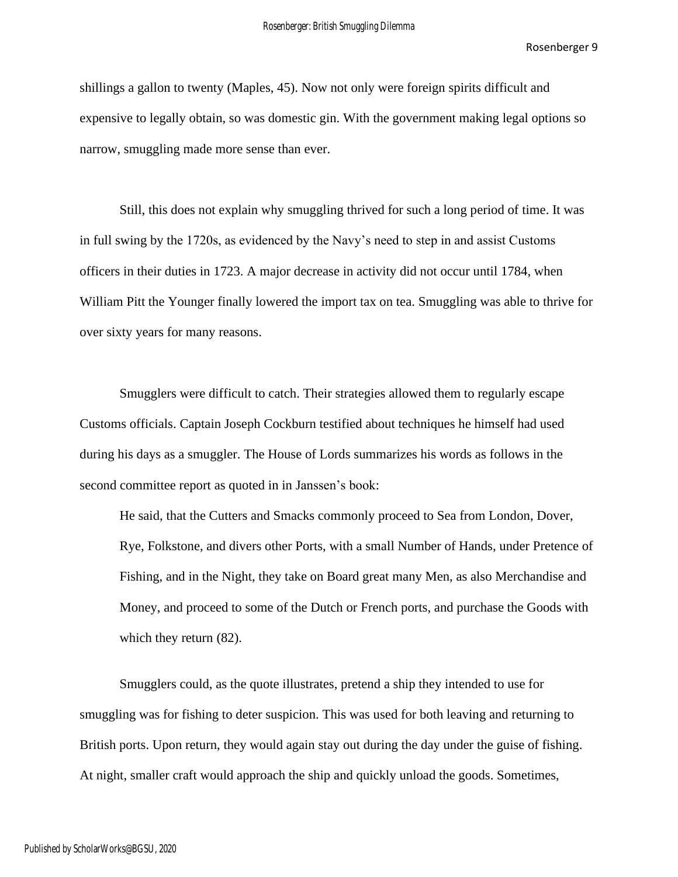shillings a gallon to twenty (Maples, 45). Now not only were foreign spirits difficult and expensive to legally obtain, so was domestic gin. With the government making legal options so narrow, smuggling made more sense than ever.

Still, this does not explain why smuggling thrived for such a long period of time. It was in full swing by the 1720s, as evidenced by the Navy's need to step in and assist Customs officers in their duties in 1723. A major decrease in activity did not occur until 1784, when William Pitt the Younger finally lowered the import tax on tea. Smuggling was able to thrive for over sixty years for many reasons.

Smugglers were difficult to catch. Their strategies allowed them to regularly escape Customs officials. Captain Joseph Cockburn testified about techniques he himself had used during his days as a smuggler. The House of Lords summarizes his words as follows in the second committee report as quoted in in Janssen's book:

He said, that the Cutters and Smacks commonly proceed to Sea from London, Dover, Rye, Folkstone, and divers other Ports, with a small Number of Hands, under Pretence of Fishing, and in the Night, they take on Board great many Men, as also Merchandise and Money, and proceed to some of the Dutch or French ports, and purchase the Goods with which they return (82).

Smugglers could, as the quote illustrates, pretend a ship they intended to use for smuggling was for fishing to deter suspicion. This was used for both leaving and returning to British ports. Upon return, they would again stay out during the day under the guise of fishing. At night, smaller craft would approach the ship and quickly unload the goods. Sometimes,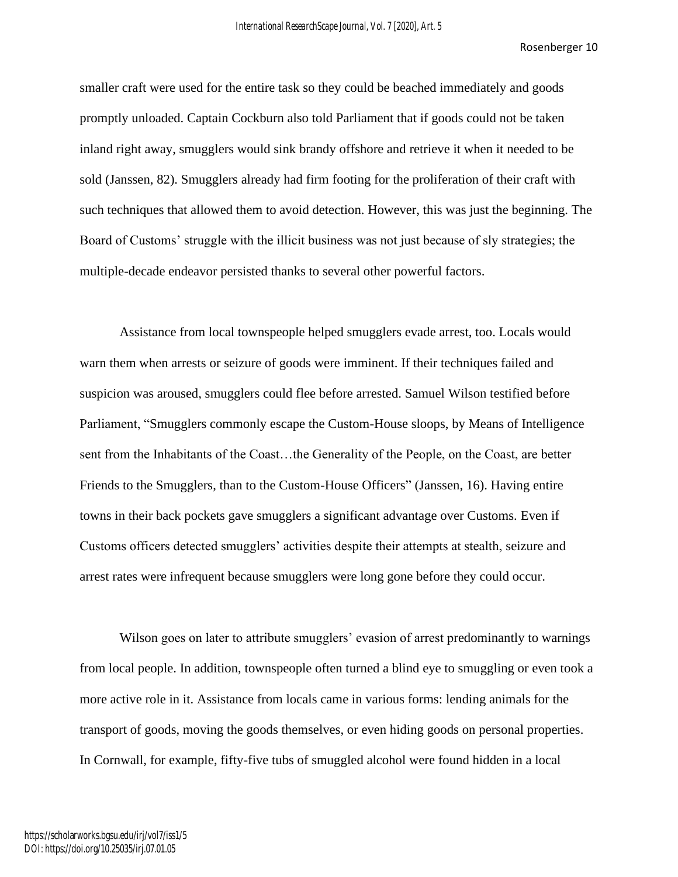smaller craft were used for the entire task so they could be beached immediately and goods promptly unloaded. Captain Cockburn also told Parliament that if goods could not be taken inland right away, smugglers would sink brandy offshore and retrieve it when it needed to be sold (Janssen, 82). Smugglers already had firm footing for the proliferation of their craft with such techniques that allowed them to avoid detection. However, this was just the beginning. The Board of Customs' struggle with the illicit business was not just because of sly strategies; the multiple-decade endeavor persisted thanks to several other powerful factors.

Assistance from local townspeople helped smugglers evade arrest, too. Locals would warn them when arrests or seizure of goods were imminent. If their techniques failed and suspicion was aroused, smugglers could flee before arrested. Samuel Wilson testified before Parliament, "Smugglers commonly escape the Custom-House sloops, by Means of Intelligence sent from the Inhabitants of the Coast…the Generality of the People, on the Coast, are better Friends to the Smugglers, than to the Custom-House Officers" (Janssen, 16). Having entire towns in their back pockets gave smugglers a significant advantage over Customs. Even if Customs officers detected smugglers' activities despite their attempts at stealth, seizure and arrest rates were infrequent because smugglers were long gone before they could occur.

Wilson goes on later to attribute smugglers' evasion of arrest predominantly to warnings from local people. In addition, townspeople often turned a blind eye to smuggling or even took a more active role in it. Assistance from locals came in various forms: lending animals for the transport of goods, moving the goods themselves, or even hiding goods on personal properties. In Cornwall, for example, fifty-five tubs of smuggled alcohol were found hidden in a local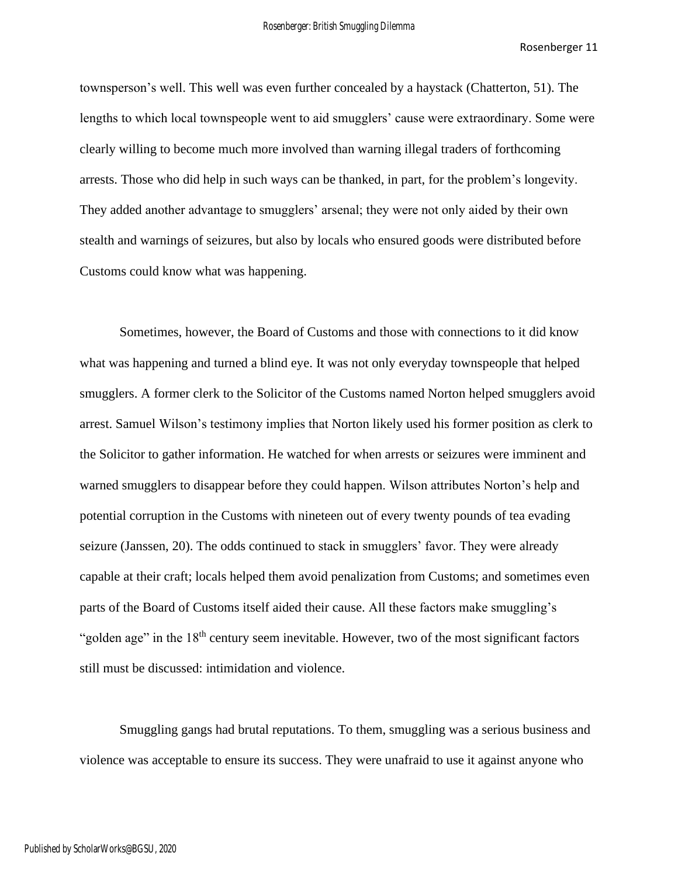townsperson's well. This well was even further concealed by a haystack (Chatterton, 51). The lengths to which local townspeople went to aid smugglers' cause were extraordinary. Some were clearly willing to become much more involved than warning illegal traders of forthcoming arrests. Those who did help in such ways can be thanked, in part, for the problem's longevity. They added another advantage to smugglers' arsenal; they were not only aided by their own stealth and warnings of seizures, but also by locals who ensured goods were distributed before Customs could know what was happening.

Sometimes, however, the Board of Customs and those with connections to it did know what was happening and turned a blind eye. It was not only everyday townspeople that helped smugglers. A former clerk to the Solicitor of the Customs named Norton helped smugglers avoid arrest. Samuel Wilson's testimony implies that Norton likely used his former position as clerk to the Solicitor to gather information. He watched for when arrests or seizures were imminent and warned smugglers to disappear before they could happen. Wilson attributes Norton's help and potential corruption in the Customs with nineteen out of every twenty pounds of tea evading seizure (Janssen, 20). The odds continued to stack in smugglers' favor. They were already capable at their craft; locals helped them avoid penalization from Customs; and sometimes even parts of the Board of Customs itself aided their cause. All these factors make smuggling's "golden age" in the  $18<sup>th</sup>$  century seem inevitable. However, two of the most significant factors still must be discussed: intimidation and violence.

Smuggling gangs had brutal reputations. To them, smuggling was a serious business and violence was acceptable to ensure its success. They were unafraid to use it against anyone who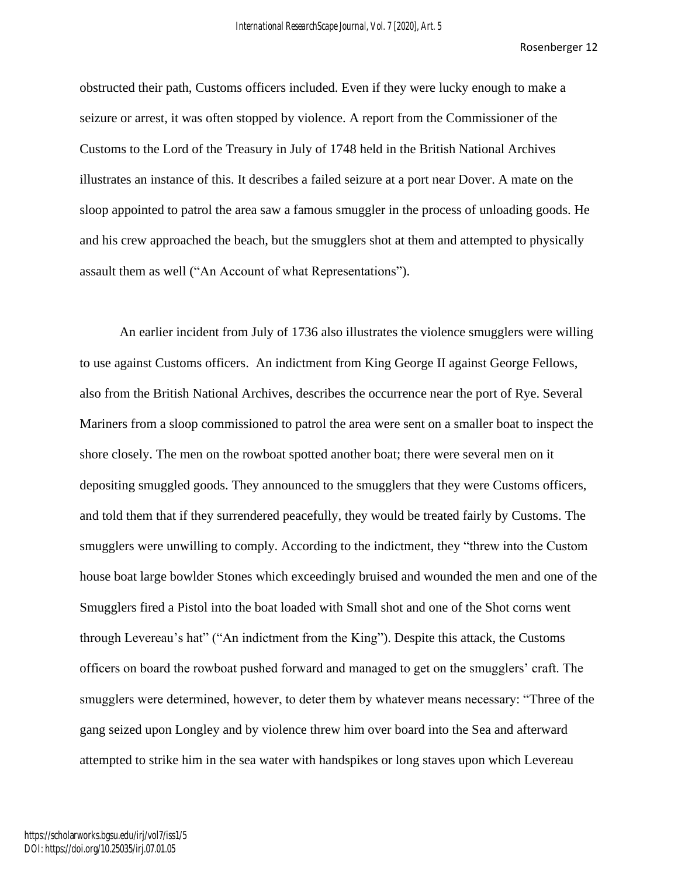obstructed their path, Customs officers included. Even if they were lucky enough to make a seizure or arrest, it was often stopped by violence. A report from the Commissioner of the Customs to the Lord of the Treasury in July of 1748 held in the British National Archives illustrates an instance of this. It describes a failed seizure at a port near Dover. A mate on the sloop appointed to patrol the area saw a famous smuggler in the process of unloading goods. He and his crew approached the beach, but the smugglers shot at them and attempted to physically assault them as well ("An Account of what Representations").

An earlier incident from July of 1736 also illustrates the violence smugglers were willing to use against Customs officers. An indictment from King George II against George Fellows, also from the British National Archives, describes the occurrence near the port of Rye. Several Mariners from a sloop commissioned to patrol the area were sent on a smaller boat to inspect the shore closely. The men on the rowboat spotted another boat; there were several men on it depositing smuggled goods. They announced to the smugglers that they were Customs officers, and told them that if they surrendered peacefully, they would be treated fairly by Customs. The smugglers were unwilling to comply. According to the indictment, they "threw into the Custom house boat large bowlder Stones which exceedingly bruised and wounded the men and one of the Smugglers fired a Pistol into the boat loaded with Small shot and one of the Shot corns went through Levereau's hat" ("An indictment from the King"). Despite this attack, the Customs officers on board the rowboat pushed forward and managed to get on the smugglers' craft. The smugglers were determined, however, to deter them by whatever means necessary: "Three of the gang seized upon Longley and by violence threw him over board into the Sea and afterward attempted to strike him in the sea water with handspikes or long staves upon which Levereau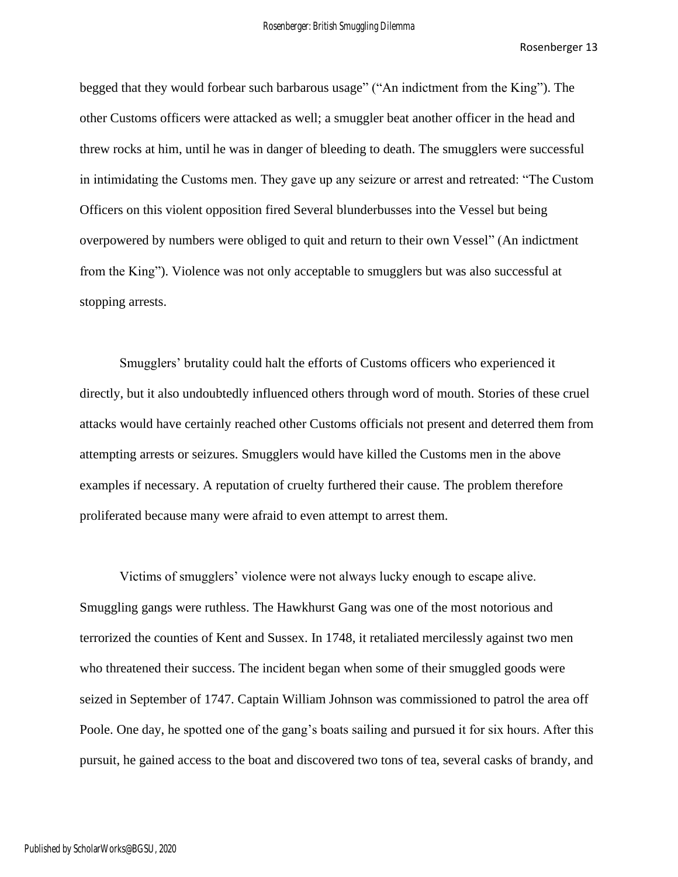begged that they would forbear such barbarous usage" ("An indictment from the King"). The other Customs officers were attacked as well; a smuggler beat another officer in the head and threw rocks at him, until he was in danger of bleeding to death. The smugglers were successful in intimidating the Customs men. They gave up any seizure or arrest and retreated: "The Custom Officers on this violent opposition fired Several blunderbusses into the Vessel but being overpowered by numbers were obliged to quit and return to their own Vessel" (An indictment from the King"). Violence was not only acceptable to smugglers but was also successful at stopping arrests.

Smugglers' brutality could halt the efforts of Customs officers who experienced it directly, but it also undoubtedly influenced others through word of mouth. Stories of these cruel attacks would have certainly reached other Customs officials not present and deterred them from attempting arrests or seizures. Smugglers would have killed the Customs men in the above examples if necessary. A reputation of cruelty furthered their cause. The problem therefore proliferated because many were afraid to even attempt to arrest them.

Victims of smugglers' violence were not always lucky enough to escape alive. Smuggling gangs were ruthless. The Hawkhurst Gang was one of the most notorious and terrorized the counties of Kent and Sussex. In 1748, it retaliated mercilessly against two men who threatened their success. The incident began when some of their smuggled goods were seized in September of 1747. Captain William Johnson was commissioned to patrol the area off Poole. One day, he spotted one of the gang's boats sailing and pursued it for six hours. After this pursuit, he gained access to the boat and discovered two tons of tea, several casks of brandy, and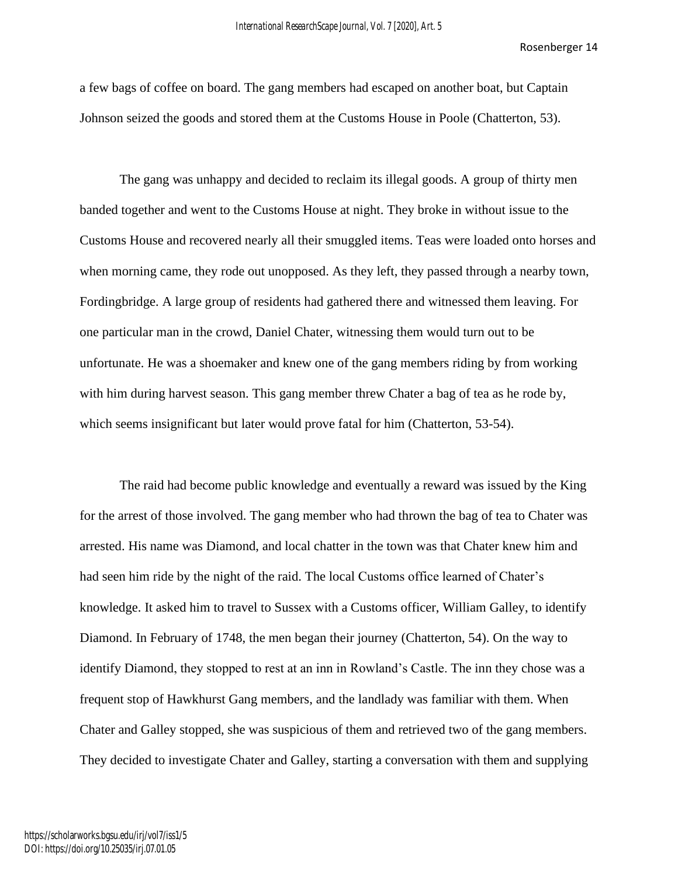a few bags of coffee on board. The gang members had escaped on another boat, but Captain Johnson seized the goods and stored them at the Customs House in Poole (Chatterton, 53).

The gang was unhappy and decided to reclaim its illegal goods. A group of thirty men banded together and went to the Customs House at night. They broke in without issue to the Customs House and recovered nearly all their smuggled items. Teas were loaded onto horses and when morning came, they rode out unopposed. As they left, they passed through a nearby town, Fordingbridge. A large group of residents had gathered there and witnessed them leaving. For one particular man in the crowd, Daniel Chater, witnessing them would turn out to be unfortunate. He was a shoemaker and knew one of the gang members riding by from working with him during harvest season. This gang member threw Chater a bag of tea as he rode by, which seems insignificant but later would prove fatal for him (Chatterton, 53-54).

The raid had become public knowledge and eventually a reward was issued by the King for the arrest of those involved. The gang member who had thrown the bag of tea to Chater was arrested. His name was Diamond, and local chatter in the town was that Chater knew him and had seen him ride by the night of the raid. The local Customs office learned of Chater's knowledge. It asked him to travel to Sussex with a Customs officer, William Galley, to identify Diamond. In February of 1748, the men began their journey (Chatterton, 54). On the way to identify Diamond, they stopped to rest at an inn in Rowland's Castle. The inn they chose was a frequent stop of Hawkhurst Gang members, and the landlady was familiar with them. When Chater and Galley stopped, she was suspicious of them and retrieved two of the gang members. They decided to investigate Chater and Galley, starting a conversation with them and supplying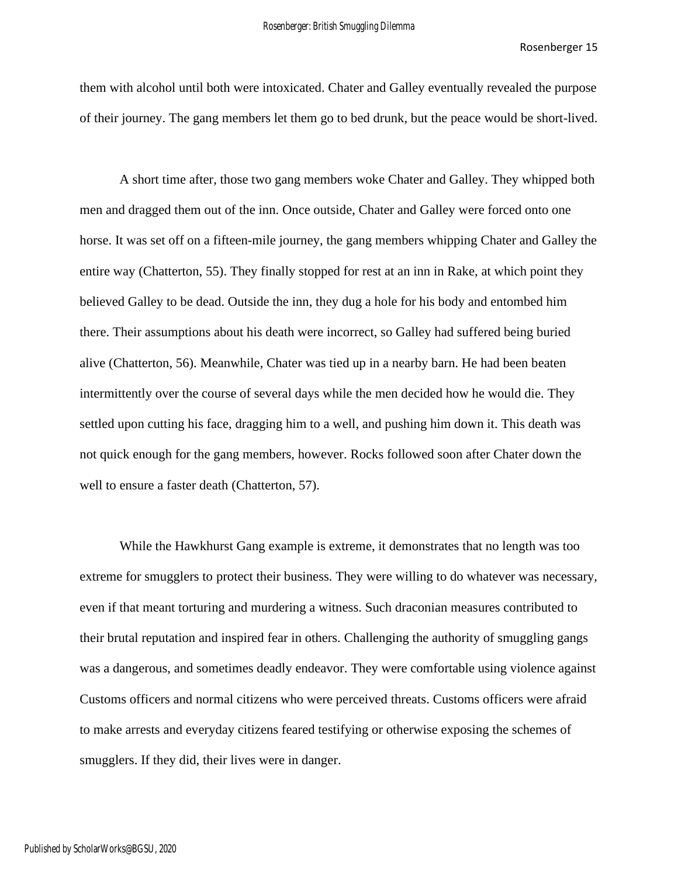them with alcohol until both were intoxicated. Chater and Galley eventually revealed the purpose of their journey. The gang members let them go to bed drunk, but the peace would be short-lived.

A short time after, those two gang members woke Chater and Galley. They whipped both men and dragged them out of the inn. Once outside, Chater and Galley were forced onto one horse. It was set off on a fifteen-mile journey, the gang members whipping Chater and Galley the entire way (Chatterton, 55). They finally stopped for rest at an inn in Rake, at which point they believed Galley to be dead. Outside the inn, they dug a hole for his body and entombed him there. Their assumptions about his death were incorrect, so Galley had suffered being buried alive (Chatterton, 56). Meanwhile, Chater was tied up in a nearby barn. He had been beaten intermittently over the course of several days while the men decided how he would die. They settled upon cutting his face, dragging him to a well, and pushing him down it. This death was not quick enough for the gang members, however. Rocks followed soon after Chater down the well to ensure a faster death (Chatterton, 57).

While the Hawkhurst Gang example is extreme, it demonstrates that no length was too extreme for smugglers to protect their business. They were willing to do whatever was necessary, even if that meant torturing and murdering a witness. Such draconian measures contributed to their brutal reputation and inspired fear in others. Challenging the authority of smuggling gangs was a dangerous, and sometimes deadly endeavor. They were comfortable using violence against Customs officers and normal citizens who were perceived threats. Customs officers were afraid to make arrests and everyday citizens feared testifying or otherwise exposing the schemes of smugglers. If they did, their lives were in danger.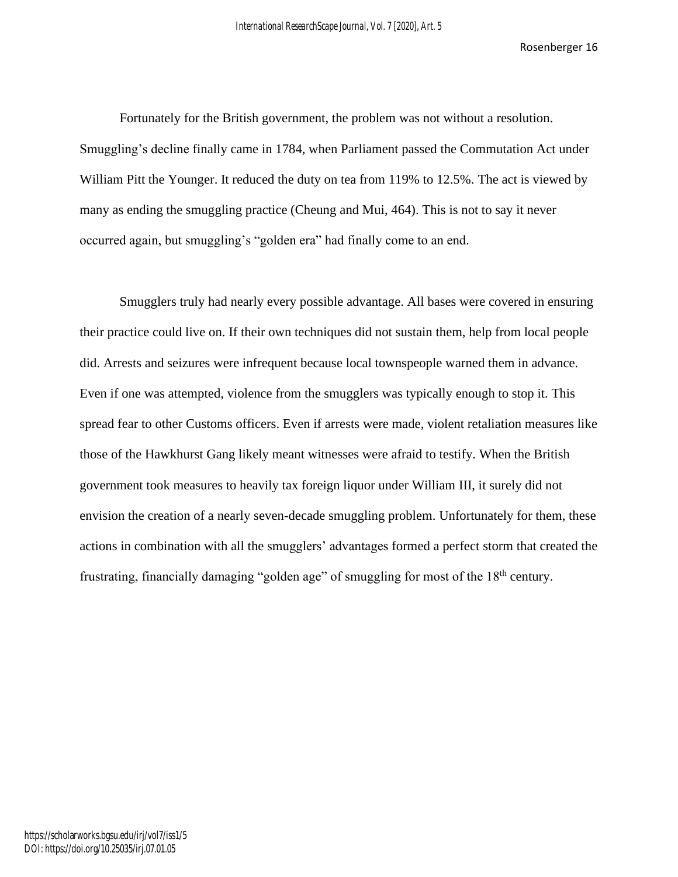Fortunately for the British government, the problem was not without a resolution. Smuggling's decline finally came in 1784, when Parliament passed the Commutation Act under William Pitt the Younger. It reduced the duty on tea from 119% to 12.5%. The act is viewed by many as ending the smuggling practice (Cheung and Mui, 464). This is not to say it never occurred again, but smuggling's "golden era" had finally come to an end.

Smugglers truly had nearly every possible advantage. All bases were covered in ensuring their practice could live on. If their own techniques did not sustain them, help from local people did. Arrests and seizures were infrequent because local townspeople warned them in advance. Even if one was attempted, violence from the smugglers was typically enough to stop it. This spread fear to other Customs officers. Even if arrests were made, violent retaliation measures like those of the Hawkhurst Gang likely meant witnesses were afraid to testify. When the British government took measures to heavily tax foreign liquor under William III, it surely did not envision the creation of a nearly seven-decade smuggling problem. Unfortunately for them, these actions in combination with all the smugglers' advantages formed a perfect storm that created the frustrating, financially damaging "golden age" of smuggling for most of the 18<sup>th</sup> century.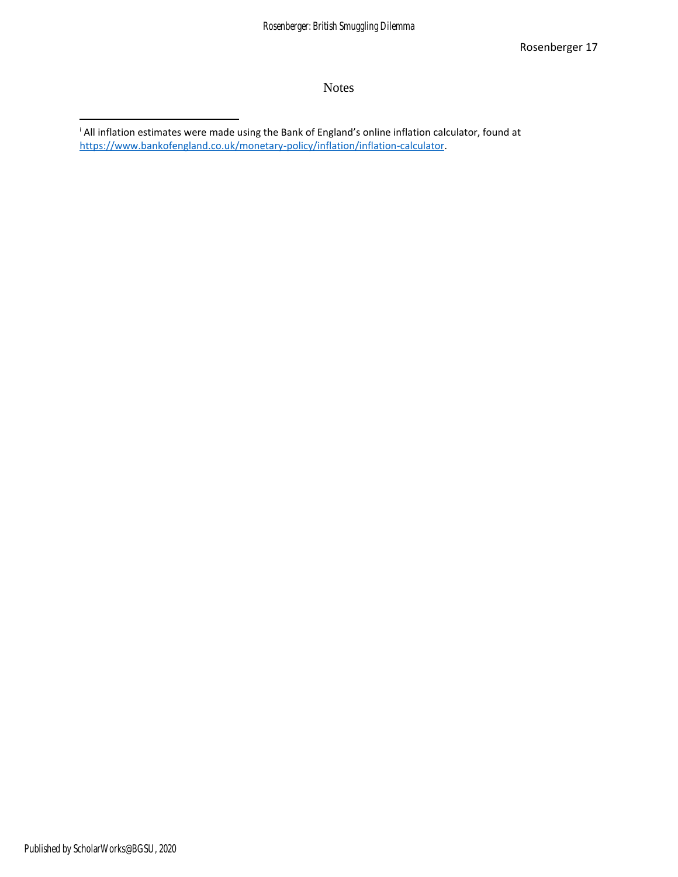### Notes

<sup>i</sup> All inflation estimates were made using the Bank of England's online inflation calculator, found at [https://www.bankofengland.co.uk/monetary-policy/inflation/inflation-calculator.](https://www.bankofengland.co.uk/monetary-policy/inflation/inflation-calculator)